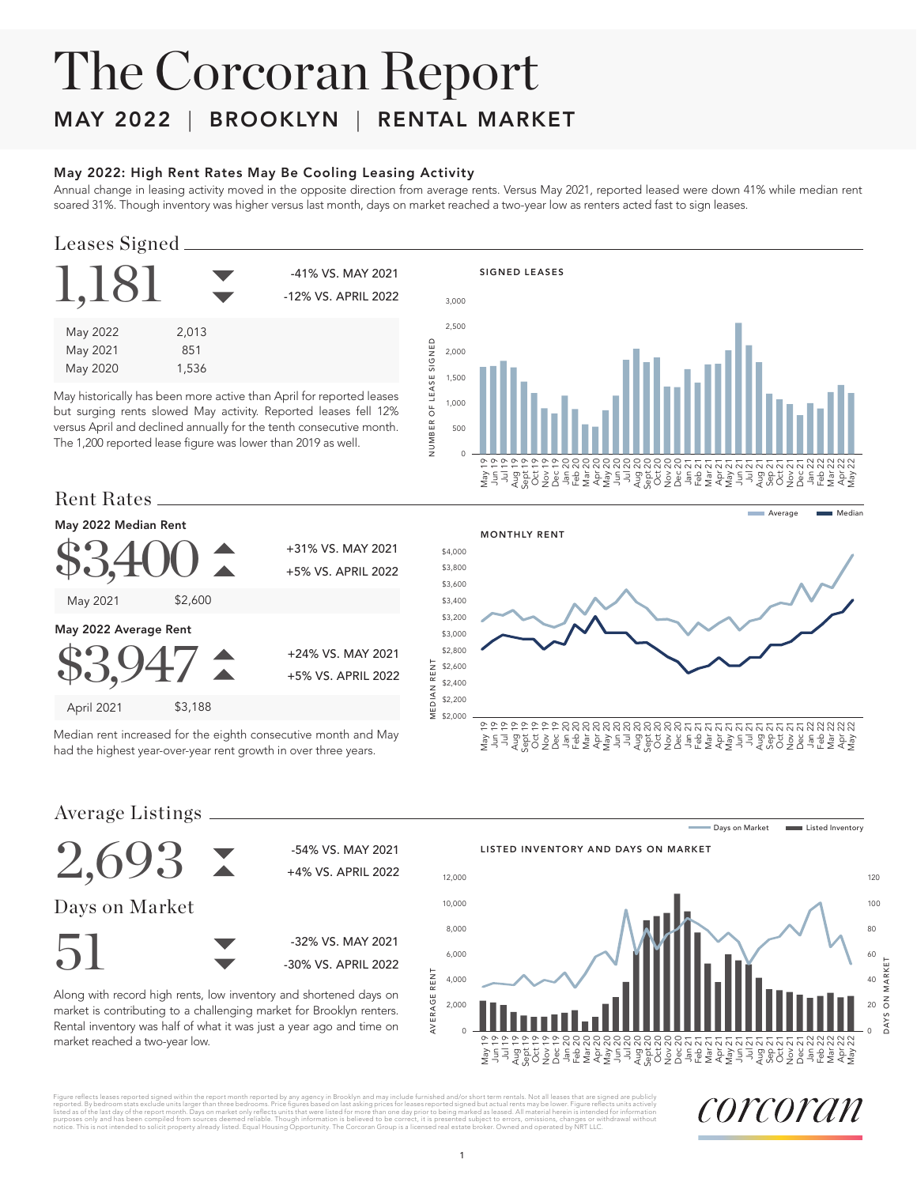# The Corcoran Report

### MAY 2022 | BROOKLYN | RENTAL MARKET

#### May 2022: High Rent Rates May Be Cooling Leasing Activity

Annual change in leasing activity moved in the opposite direction from average rents. Versus May 2021, reported leased were down 41% while median rent soared 31%. Though inventory was higher versus last month, days on market reached a two-year low as renters acted fast to sign leases.

#### Leases Signed

| 1,18                             |                       | -41% VS. MAY 2021<br>-12% VS. APRIL 2022 |
|----------------------------------|-----------------------|------------------------------------------|
| May 2022<br>May 2021<br>May 2020 | 2,013<br>851<br>1,536 |                                          |

May historically has been more active than April for reported leases but surging rents slowed May activity. Reported leases fell 12% versus April and declined annually for the tenth consecutive month. The 1,200 reported lease figure was lower than 2019 as well.



#### Rent Rates



Median rent increased for the eighth consecutive month and May had the highest year-over-year rent growth in over three years.



Average Listings



Along with record high rents, low inventory and shortened days on market is contributing to a challenging market for Brooklyn renters. Rental inventory was half of what it was just a year ago and time on market reached a two-year low.







Figure reflects leases reported signed within the report month reported by any agency in Brooklyn and may include furnished and/or short term rentals. Not all leases that are signed are publicly include furnished and of sh

corcoran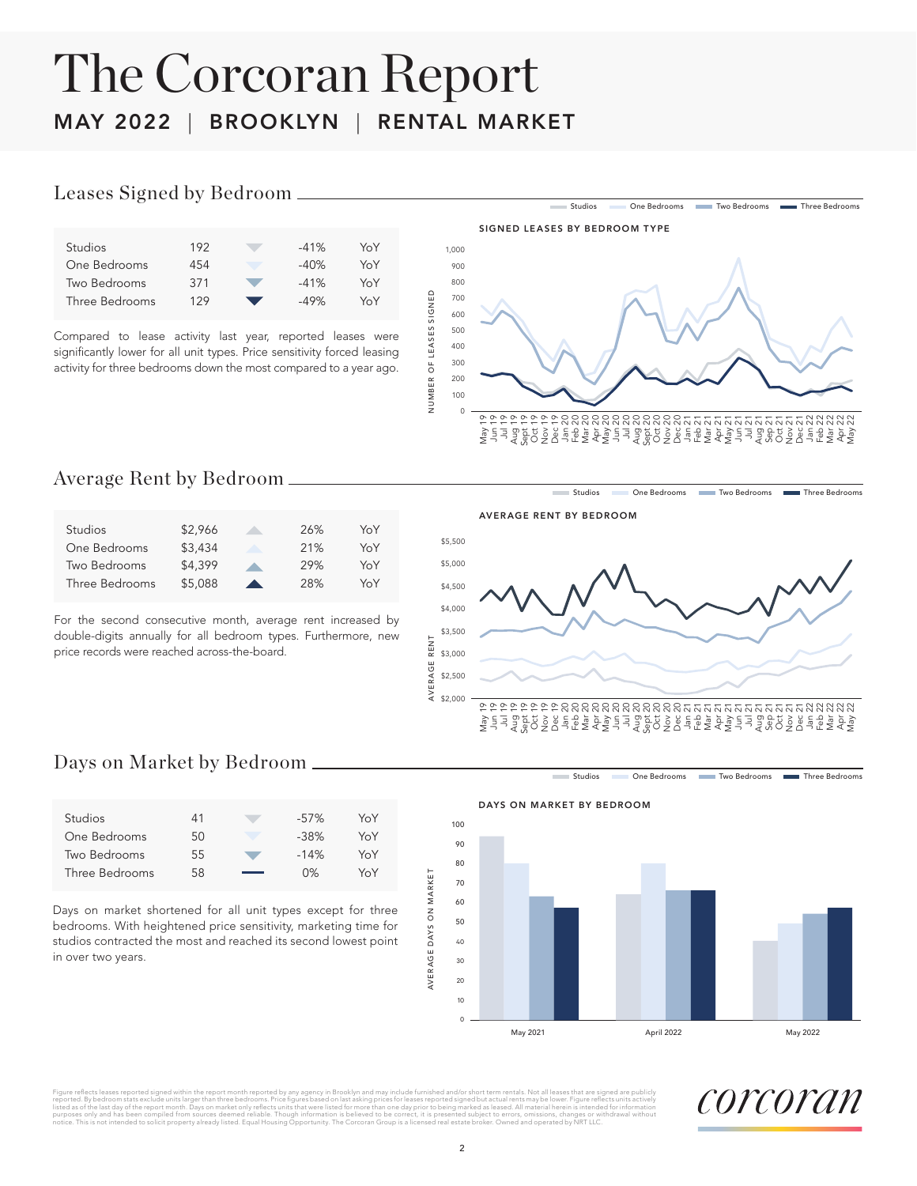# The Corcoran Report MAY 2022 | BROOKLYN | RENTAL MARKET

#### Leases Signed by Bedroom

| <b>Studios</b> | 192 | $-41%$ | YoY |
|----------------|-----|--------|-----|
| One Bedrooms   | 454 | $-40%$ | YoY |
| Two Bedrooms   | 371 | $-41%$ | YoY |
| Three Bedrooms | 129 | $-49%$ | YoY |
|                |     |        |     |

Compared to lease activity last year, reported leases were significantly lower for all unit types. Price sensitivity forced leasing activity for three bedrooms down the most compared to a year ago.



#### Average Rent by Bedroom

| <b>Studios</b> | \$2.966 |                          | 26% | YoY |
|----------------|---------|--------------------------|-----|-----|
| One Bedrooms   | \$3,434 |                          | 21% | YoY |
| Two Bedrooms   | \$4,399 |                          | 29% | YoY |
| Three Bedrooms | \$5,088 | $\overline{\phantom{a}}$ | 28% | YoY |

For the second consecutive month, average rent increased by double-digits annually for all bedroom types. Furthermore, new price records were reached across-the-board.

AVERAGE RENT BY BEDROOM



#### Days on Market by Bedroom

| Studios        | 41 | $-57%$ | YoY |
|----------------|----|--------|-----|
| One Bedrooms   | 50 | $-38%$ | YoY |
| Two Bedrooms   | 55 | $-14%$ | YoY |
| Three Bedrooms | 58 | 0%     | YoY |
|                |    |        |     |

Days on market shortened for all unit types except for three bedrooms. With heightened price sensitivity, marketing time for studios contracted the most and reached its second lowest point in over two years.

Studios **One Bedrooms** Two Bedrooms Three Bedrooms

Studios One Bedrooms Two Bedrooms Three Bedrooms



Figure rellects leases reported signed within the report month reported by any agency of products and a substanting the state and the state of the state of the state of the state of the state of the state of the state of t notice. This is not intended to solicit property already listed. Equal Housing Opportunity. The Correction Corporation Correction Correction Correction Group is a licensed real operation Group is a licensed real estated by